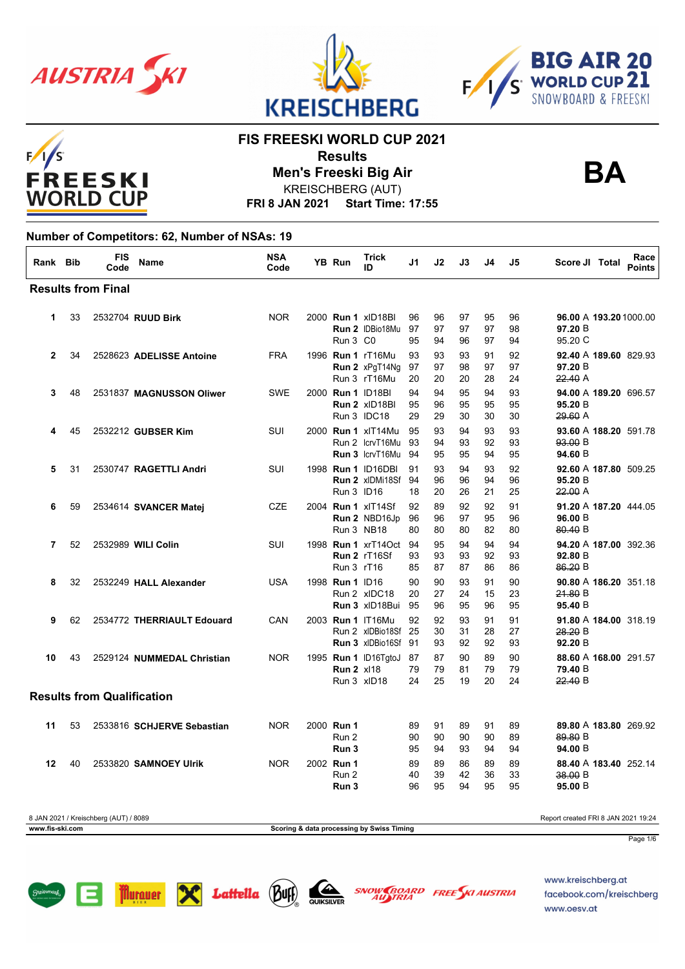

 $F/1/S$ 





**BA**

## **FIS FREESKI WORLD CUP 2021**

**Results Men's Freeski Big Air**

**FRI 8 JAN 2021 Start Time: 17:55** KREISCHBERG (AUT)

#### **Number of Competitors: 62, Number of NSAs: 19**

| Rank Bib     |    | <b>FIS</b><br>Code                | <b>Name</b>                | <b>NSA</b><br>Code | <b>YB Run</b>                    | <b>Trick</b><br>ID                                                     | J1             | J2             | J3             | J4             | J5             | Score JI Total                                         | Race<br><b>Points</b> |
|--------------|----|-----------------------------------|----------------------------|--------------------|----------------------------------|------------------------------------------------------------------------|----------------|----------------|----------------|----------------|----------------|--------------------------------------------------------|-----------------------|
|              |    | <b>Results from Final</b>         |                            |                    |                                  |                                                                        |                |                |                |                |                |                                                        |                       |
| 1            | 33 |                                   | 2532704 RUUD Birk          | <b>NOR</b>         | Run 3 C <sub>0</sub>             | 2000 <b>Run 1</b> xID18BI<br>Run 2 IDBio18Mu                           | 96<br>97<br>95 | 96<br>97<br>94 | 97<br>97<br>96 | 95<br>97<br>97 | 96<br>98<br>94 | 96.00 A 193.20 1000.00<br>97.20 B<br>95.20 C           |                       |
| $\mathbf{2}$ | 34 |                                   | 2528623 ADELISSE Antoine   | <b>FRA</b>         |                                  | 1996 <b>Run 1 rT16Mu</b><br>Run 2 xPgT14Ng<br>Run 3 rT16Mu             | 93<br>97<br>20 | 93<br>97<br>20 | 93<br>98<br>20 | 91<br>97<br>28 | 92<br>97<br>24 | 92.40 A 189.60 829.93<br>97.20 B<br>22.40 A            |                       |
| 3            | 48 |                                   | 2531837 MAGNUSSON Oliwer   | <b>SWE</b>         |                                  | 2000 Run 1 ID18BI<br>Run 2 xID18BI<br>Run 3 IDC18                      | 94<br>95<br>29 | 94<br>96<br>29 | 95<br>95<br>30 | 94<br>95<br>30 | 93<br>95<br>30 | 94.00 A 189.20 696.57<br>95.20 B<br>29.60 A            |                       |
| 4            | 45 |                                   | 2532212 GUBSER Kim         | SUI                |                                  | 2000 <b>Run 1 xlT14Mu</b><br>Run 2 IcryT16Mu<br><b>Run 3 IcryT16Mu</b> | 95<br>93<br>94 | 93<br>94<br>95 | 94<br>93<br>95 | 93<br>92<br>94 | 93<br>93<br>95 | 93.60 A 188.20 591.78<br>93.00 B<br>94.60 B            |                       |
| 5            | 31 |                                   | 2530747 RAGETTLI Andri     | SUI                | Run 3 ID16                       | 1998 <b>Run 1</b> ID16DBI<br><b>Run 2 xIDMi18Sf 94</b>                 | 91<br>18       | 93<br>96<br>20 | 94<br>96<br>26 | 93<br>94<br>21 | 92<br>96<br>25 | 92.60 A 187.80 509.25<br>95.20 B<br>22.00 A            |                       |
| 6            | 59 |                                   | 2534614 SVANCER Matej      | <b>CZE</b>         | Run 3 NB18                       | 2004 <b>Run 1</b> xIT14Sf<br>Run 2 NBD16Jp                             | 92<br>96<br>80 | 89<br>96<br>80 | 92<br>97<br>80 | 92<br>95<br>82 | 91<br>96<br>80 | 91.20 A 187.20 444.05<br>96.00 B<br>80.40 B            |                       |
| 7            | 52 |                                   | 2532989 WILI Colin         | SUI                | Run 3 rT16                       | 1998 <b>Run 1</b> xrT14Oct 94<br>Run 2 rT16Sf                          | 93<br>85       | 95<br>93<br>87 | 94<br>93<br>87 | 94<br>92<br>86 | 94<br>93<br>86 | 94.20 A 187.00 392.36<br>92.80B<br>86.20 B             |                       |
| 8            | 32 |                                   | 2532249 HALL Alexander     | <b>USA</b>         | 1998 <b>Run 1</b> ID16           | Run 2 xIDC18<br>Run 3 xlD18Bui                                         | 90<br>20<br>95 | 90<br>27<br>96 | 93<br>24<br>95 | 91<br>15<br>96 | 90<br>23<br>95 | 90.80 A 186.20 351.18<br>21.80 B<br>95.40 B            |                       |
| 9            | 62 |                                   | 2534772 THERRIAULT Edouard | CAN                |                                  | 2003 Run 1 IT16Mu<br>Run 2 xIDBio18Sf 25<br>Run 3 xIDBio16Sf 91        | 92             | 92<br>30<br>93 | 93<br>31<br>92 | 91<br>28<br>92 | 91<br>27<br>93 | 91.80 A 184.00 318.19<br><del>28.20</del> B<br>92.20 B |                       |
| 10           | 43 |                                   | 2529124 NUMMEDAL Christian | <b>NOR</b>         | <b>Run 2 xl18</b><br>Run 3 xID18 | 1995 Run 1 ID16TgtoJ                                                   | 87<br>79<br>24 | 87<br>79<br>25 | 90<br>81<br>19 | 89<br>79<br>20 | 90<br>79<br>24 | 88.60 A 168.00 291.57<br>79.40 B<br>22.40 B            |                       |
|              |    | <b>Results from Qualification</b> |                            |                    |                                  |                                                                        |                |                |                |                |                |                                                        |                       |
| 11           | 53 |                                   | 2533816 SCHJERVE Sebastian | <b>NOR</b>         | 2000 Run 1<br>Run 2<br>Run 3     |                                                                        | 89<br>90<br>95 | 91<br>90<br>94 | 89<br>90<br>93 | 91<br>90<br>94 | 89<br>89<br>94 | 89.80 A 183.80 269.92<br>89.80 B<br>94.00 B            |                       |
| 12           | 40 |                                   | 2533820 SAMNOEY Ulrik      | <b>NOR</b>         | 2002 Run 1<br>Run 2              |                                                                        | 89<br>40       | 89<br>39       | 86<br>42       | 89<br>36       | 89<br>33       | 88.40 A 183.40 252.14<br>38.00 B                       |                       |

8 JAN 2021 / Kreischberg (AUT) / 8089 Report created FRI 8 JAN 2021 19:24 **www.fis-ski.com Scoring & data processing by Swiss Timing**

Page 1/6







40 2533820 **SAMNOEY Ulrik** NOR 2002 **Run 3** 96 95 94 95 95 **95.00** B

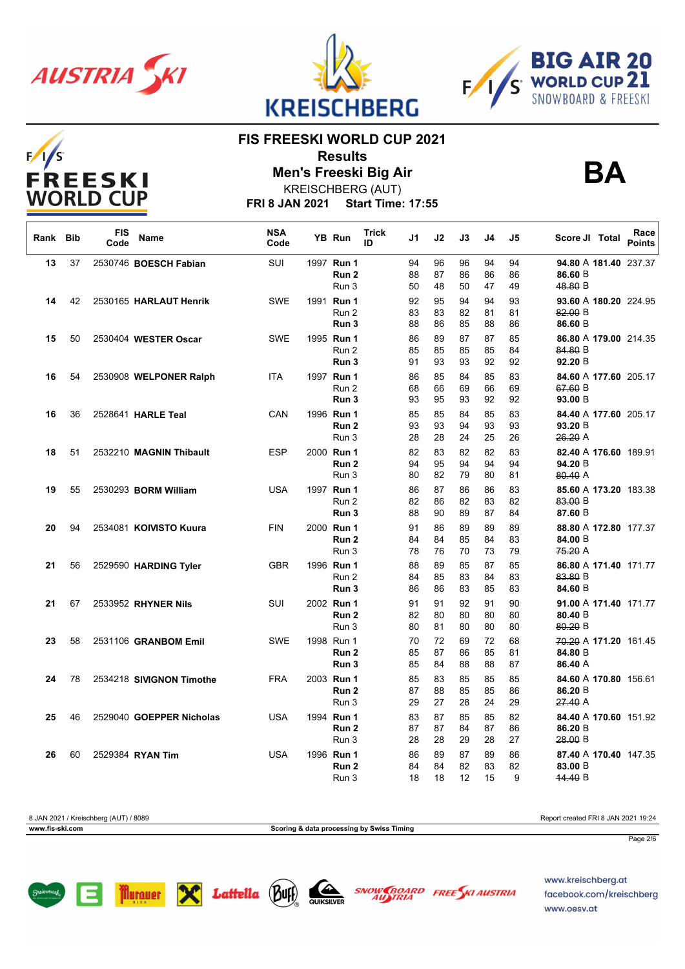

 $F/I/S$ 





**BA**

## **FIS FREESKI WORLD CUP 2021**

**Results Men's Freeski Big Air**



**FRI 8 JAN 2021 Start Time: 17:55**

| Rank Bib |    | <b>FIS</b><br>Code | Name                     | <b>NSA</b><br>Code | YB Run                                  | <b>Trick</b><br>ID | J1                   | J2                   | J3                   | J4                   | J5                  | Score JI Total                              | Race<br><b>Points</b> |
|----------|----|--------------------|--------------------------|--------------------|-----------------------------------------|--------------------|----------------------|----------------------|----------------------|----------------------|---------------------|---------------------------------------------|-----------------------|
| 13       | 37 |                    | 2530746 BOESCH Fabian    | <b>SUI</b>         | 1997 Run 1<br>Run <sub>2</sub><br>Run 3 |                    | 94<br>88<br>50       | 96<br>87<br>48       | 96<br>86<br>50       | 94<br>86<br>47       | 94<br>86<br>49      | 94.80 A 181.40 237.37<br>86.60 B<br>48.80 B |                       |
| 14       | 42 |                    | 2530165 HARLAUT Henrik   | <b>SWE</b>         | 1991 Run 1<br>Run 2<br>Run 3            |                    | 92<br>83<br>88       | 95<br>83<br>86       | 94<br>82<br>85       | 94<br>81<br>88       | 93<br>81<br>86      | 93.60 A 180.20 224.95<br>82.00 B<br>86.60 B |                       |
| 15       | 50 |                    | 2530404 WESTER Oscar     | <b>SWE</b>         | 1995 Run 1<br>Run 2<br>Run 3            |                    | 86<br>85<br>91       | 89<br>85<br>93       | 87<br>85<br>93       | 87<br>85<br>92       | 85<br>84<br>92      | 86.80 A 179.00 214.35<br>84.80 B<br>92.20 B |                       |
| 16       | 54 |                    | 2530908 WELPONER Ralph   | <b>ITA</b>         | 1997 Run 1<br>Run 2<br>Run 3            |                    | 86<br>68<br>93       | 85<br>66<br>95       | 84<br>69<br>93       | 85<br>66<br>92       | 83<br>69<br>92      | 84.60 A 177.60 205.17<br>67.60 B<br>93.00 B |                       |
| 16       | 36 |                    | 2528641 HARLE Teal       | CAN                | 1996 Run 1<br>Run <sub>2</sub><br>Run 3 |                    | 85<br>93<br>28       | 85<br>93<br>28       | 84<br>94<br>24       | 85<br>93<br>25       | 83<br>93<br>26      | 84.40 A 177.60 205.17<br>93.20 B<br>26.20 A |                       |
| 18       | 51 |                    | 2532210 MAGNIN Thibault  | <b>ESP</b>         | 2000 Run 1<br>Run 2<br>Run 3            |                    | 82<br>94<br>80       | 83<br>95<br>82       | 82<br>94<br>79       | 82<br>94<br>80       | 83<br>94<br>81      | 82.40 A 176.60 189.91<br>94.20 B<br>80.40 A |                       |
| 19       | 55 |                    | 2530293 BORM William     | <b>USA</b>         | 1997 Run 1<br>Run 2<br>Run 3            |                    | 86<br>82<br>88       | 87<br>86<br>90       | 86<br>82<br>89       | 86<br>83<br>87       | 83<br>82<br>84      | 85.60 A 173.20 183.38<br>83.00 B<br>87.60 B |                       |
| 20       | 94 |                    | 2534081 KOIVISTO Kuura   | <b>FIN</b>         | 2000 Run 1<br>Run <sub>2</sub><br>Run 3 |                    | 91<br>84<br>78       | 86<br>84<br>76       | 89<br>85<br>70       | 89<br>84<br>73       | 89<br>83<br>79      | 88.80 A 172.80 177.37<br>84.00 B<br>75.20 A |                       |
| 21       | 56 |                    | 2529590 HARDING Tyler    | <b>GBR</b>         | 1996 Run 1<br>Run 2<br>Run 3            |                    | 88<br>84<br>86       | 89<br>85<br>86       | 85<br>83<br>83       | 87<br>84<br>85       | 85<br>83<br>83      | 86.80 A 171.40 171.77<br>83.80 B<br>84.60 B |                       |
| 21       | 67 |                    | 2533952 RHYNER Nils      | SUI                | 2002 Run 1<br>Run 2<br>Run 3            |                    | 91<br>82<br>80       | 91<br>80<br>81       | 92<br>80<br>80       | 91<br>80<br>80       | 90<br>80<br>80      | 91.00 A 171.40 171.77<br>80.40 B<br>80.20 B |                       |
| 23       | 58 |                    | 2531106 GRANBOM Emil     | <b>SWE</b>         | 1998 Run 1<br>Run 2<br>Run 3            |                    | 70<br>85<br>85       | 72<br>87<br>84       | 69<br>86<br>88       | 72<br>85<br>88       | 68<br>81<br>87      | 70.20 A 171.20 161.45<br>84.80 B<br>86.40 A |                       |
| 24       | 78 |                    | 2534218 SIVIGNON Timothe | <b>FRA</b>         | 2003 Run 1<br>Run <sub>2</sub><br>Run 3 |                    | 85<br>87<br>29       | 83<br>88<br>27       | 85<br>85<br>28       | 85<br>85<br>24       | 85<br>86<br>29      | 84.60 A 170.80 156.61<br>86.20 B<br>27.40 A |                       |
| 25       | 46 |                    | 2529040 GOEPPER Nicholas | <b>USA</b>         | 1994 Run 1<br>Run 2                     |                    | 83<br>87             | 87<br>87             | 85<br>84             | 85<br>87             | 82<br>86            | 84.40 A 170.60 151.92<br>86.20 B<br>28.00 B |                       |
| 26       | 60 |                    | 2529384 RYAN Tim         | <b>USA</b>         | Run 3<br>1996 Run 1<br>Run 2<br>Run 3   |                    | 28<br>86<br>84<br>18 | 28<br>89<br>84<br>18 | 29<br>87<br>82<br>12 | 28<br>89<br>83<br>15 | 27<br>86<br>82<br>9 | 87.40 A 170.40 147.35<br>83.00 B<br>44.40 B |                       |

8 JAN 2021 / Kreischberg (AUT) / 8089 Report created FRI 8 JAN 2021 19:24 **www.fis-ski.com Scoring & data processing by Swiss Timing** Page 2/6







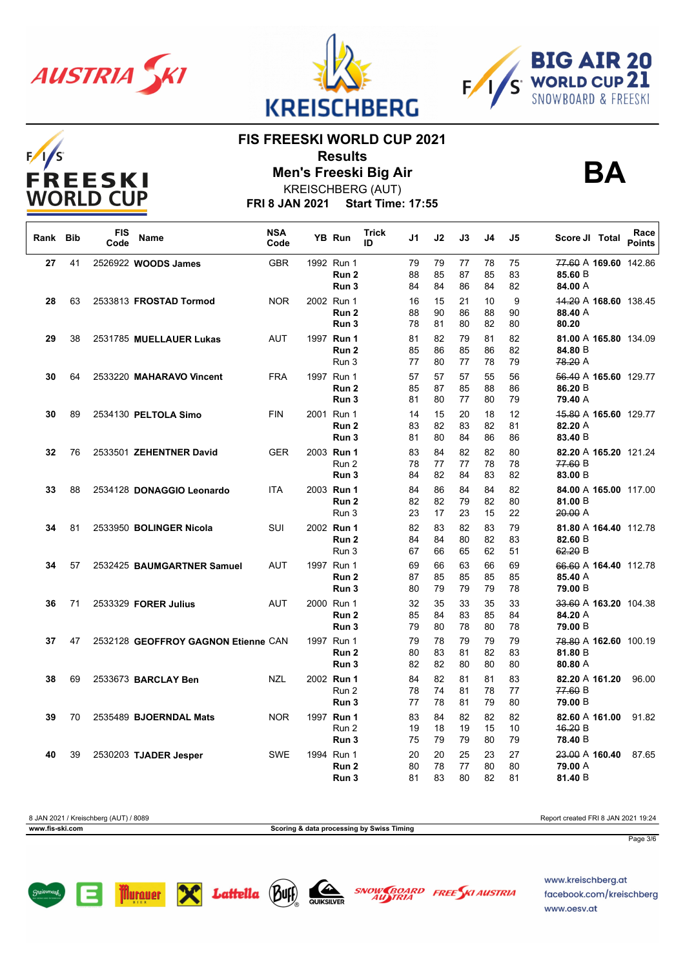

 $F/I/S$ 





**BA**

### **FIS FREESKI WORLD CUP 2021**

**Results Men's Freeski Big Air**

KREISCHBERG (AUT)

**FRI 8 JAN 2021 Start Time: 17:55**

| Rank Bib |    | <b>FIS</b><br>Code | Name                                | <b>NSA</b><br>Code | YB Run                                  | <b>Trick</b><br>ID | J1             | J2             | J3             | J4             | J5             | Score JI Total                              | Race<br><b>Points</b> |
|----------|----|--------------------|-------------------------------------|--------------------|-----------------------------------------|--------------------|----------------|----------------|----------------|----------------|----------------|---------------------------------------------|-----------------------|
| 27       | 41 |                    | 2526922 WOODS James                 | <b>GBR</b>         | 1992 Run 1<br>Run <sub>2</sub><br>Run 3 |                    | 79<br>88<br>84 | 79<br>85<br>84 | 77<br>87<br>86 | 78<br>85<br>84 | 75<br>83<br>82 | 77.60 A 169.60 142.86<br>85.60 B<br>84.00 A |                       |
| 28       | 63 |                    | 2533813 FROSTAD Tormod              | <b>NOR</b>         | 2002 Run 1<br>Run 2<br>Run 3            |                    | 16<br>88<br>78 | 15<br>90<br>81 | 21<br>86<br>80 | 10<br>88<br>82 | 9<br>90<br>80  | 44.20 A 168.60 138.45<br>88.40 A<br>80.20   |                       |
| 29       | 38 |                    | 2531785 MUELLAUER Lukas             | AUT                | 1997 Run 1<br>Run <sub>2</sub><br>Run 3 |                    | 81<br>85<br>77 | 82<br>86<br>80 | 79<br>85<br>77 | 81<br>86<br>78 | 82<br>82<br>79 | 81.00 A 165.80 134.09<br>84.80 B<br>78.20 A |                       |
| 30       | 64 |                    | 2533220 MAHARAVO Vincent            | <b>FRA</b>         | 1997 Run 1<br>Run 2<br>Run 3            |                    | 57<br>85<br>81 | 57<br>87<br>80 | 57<br>85<br>77 | 55<br>88<br>80 | 56<br>86<br>79 | 56.40 A 165.60 129.77<br>86.20 B<br>79.40 A |                       |
| 30       | 89 |                    | 2534130 PELTOLA Simo                | <b>FIN</b>         | 2001 Run 1<br>Run 2<br>Run 3            |                    | 14<br>83<br>81 | 15<br>82<br>80 | 20<br>83<br>84 | 18<br>82<br>86 | 12<br>81<br>86 | 45.80 A 165.60 129.77<br>82.20 A<br>83.40 B |                       |
| 32       | 76 |                    | 2533501 ZEHENTNER David             | <b>GER</b>         | 2003 Run 1<br>Run 2<br>Run <sub>3</sub> |                    | 83<br>78<br>84 | 84<br>77<br>82 | 82<br>77<br>84 | 82<br>78<br>83 | 80<br>78<br>82 | 82.20 A 165.20 121.24<br>77.60 B<br>83.00 B |                       |
| 33       | 88 |                    | 2534128 DONAGGIO Leonardo           | <b>ITA</b>         | 2003 Run 1<br>Run <sub>2</sub><br>Run 3 |                    | 84<br>82<br>23 | 86<br>82<br>17 | 84<br>79<br>23 | 84<br>82<br>15 | 82<br>80<br>22 | 84.00 A 165.00 117.00<br>81.00 B<br>20.00A  |                       |
| 34       | 81 |                    | 2533950 BOLINGER Nicola             | SUI                | 2002 Run 1<br>Run 2<br>Run 3            |                    | 82<br>84<br>67 | 83<br>84<br>66 | 82<br>80<br>65 | 83<br>82<br>62 | 79<br>83<br>51 | 81.80 A 164.40 112.78<br>82.60 B<br>62.20 B |                       |
| 34       | 57 |                    | 2532425 BAUMGARTNER Samuel          | <b>AUT</b>         | 1997 Run 1<br>Run 2<br>Run 3            |                    | 69<br>87<br>80 | 66<br>85<br>79 | 63<br>85<br>79 | 66<br>85<br>79 | 69<br>85<br>78 | 66.60 A 164.40 112.78<br>85.40 A<br>79.00 B |                       |
| 36       | 71 |                    | 2533329 FORER Julius                | <b>AUT</b>         | 2000 Run 1<br>Run 2<br>Run <sub>3</sub> |                    | 32<br>85<br>79 | 35<br>84<br>80 | 33<br>83<br>78 | 35<br>85<br>80 | 33<br>84<br>78 | 33.60 A 163.20 104.38<br>84.20 A<br>79.00 B |                       |
| 37       | 47 |                    | 2532128 GEOFFROY GAGNON Etienne CAN |                    | 1997 Run 1<br>Run 2<br>Run 3            |                    | 79<br>80<br>82 | 78<br>83<br>82 | 79<br>81<br>80 | 79<br>82<br>80 | 79<br>83<br>80 | 78.80 A 162.60 100.19<br>81.80 B<br>80.80 A |                       |
| 38       | 69 |                    | 2533673 <b>BARCLAY Ben</b>          | <b>NZL</b>         | 2002 Run 1<br>Run 2<br>Run <sub>3</sub> |                    | 84<br>78<br>77 | 82<br>74<br>78 | 81<br>81<br>81 | 81<br>78<br>79 | 83<br>77<br>80 | 82.20 A 161.20<br>77.60 B<br>79.00 B        | 96.00                 |
| 39       | 70 |                    | 2535489 BJOERNDAL Mats              | <b>NOR</b>         | 1997 Run 1<br>Run 2<br>Run 3            |                    | 83<br>19<br>75 | 84<br>18<br>79 | 82<br>19<br>79 | 82<br>15<br>80 | 82<br>10<br>79 | 82.60 A 161.00<br>46.20 B<br>78.40 B        | 91.82                 |
| 40       | 39 |                    | 2530203 TJADER Jesper               | <b>SWE</b>         | 1994 Run 1<br>Run <sub>2</sub><br>Run 3 |                    | 20<br>80<br>81 | 20<br>78<br>83 | 25<br>77<br>80 | 23<br>80<br>82 | 27<br>80<br>81 | 23.00 A 160.40<br>79.00 A<br>81.40 B        | 87.65                 |

8 JAN 2021 / Kreischberg (AUT) / 8089 Report created FRI 8 JAN 2021 19:24 **www.fis-ski.com Scoring & data processing by Swiss Timing** Page 3/6







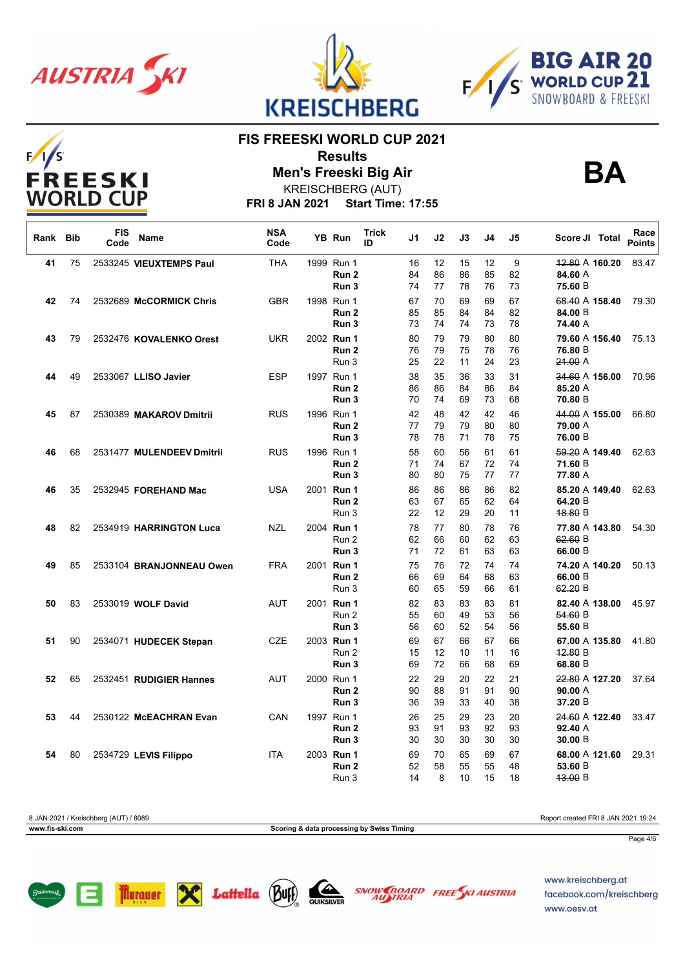

 $F/1/S$ 





**BA**

#### **FIS FREESKI WORLD CUP 2021**

**Results**



**Men's Freeski Big Air**

**FRI 8 JAN 2021 Start Time: 17:55** KREISCHBERG (AUT)

| Rank Bib |    | <b>FIS</b><br>Code | <b>Name</b>               | <b>NSA</b><br>Code | YB Run                         | <b>Trick</b><br>ID | J1       | J2       | J3       | J4       | J5       | Score JI Total            | Race<br><b>Points</b> |
|----------|----|--------------------|---------------------------|--------------------|--------------------------------|--------------------|----------|----------|----------|----------|----------|---------------------------|-----------------------|
| 41       | 75 |                    | 2533245 VIEUXTEMPS Paul   | <b>THA</b>         | 1999 Run 1                     |                    | 16       | 12       | 15       | 12       | 9        | 12.80 A 160.20            | 83.47                 |
|          |    |                    |                           |                    | Run 2<br>Run <sub>3</sub>      |                    | 84<br>74 | 86<br>77 | 86<br>78 | 85<br>76 | 82<br>73 | 84.60 A<br>75.60 B        |                       |
| 42       | 74 |                    | 2532689 McCORMICK Chris   | <b>GBR</b>         | 1998 Run 1                     |                    | 67       | 70       | 69       | 69       | 67       | 68.40 A 158.40            | 79.30                 |
|          |    |                    |                           |                    | Run <sub>2</sub>               |                    | 85       | 85       | 84       | 84       | 82       | 84.00 B                   |                       |
|          |    |                    |                           |                    | Run <sub>3</sub>               |                    | 73       | 74       | 74       | 73       | 78       | 74.40 A                   |                       |
| 43       | 79 |                    | 2532476 KOVALENKO Orest   | <b>UKR</b>         | 2002 Run 1<br>Run <sub>2</sub> |                    | 80<br>76 | 79<br>79 | 79<br>75 | 80<br>78 | 80<br>76 | 79.60 A 156.40<br>76.80 B | 75.13                 |
|          |    |                    |                           |                    | Run 3                          |                    | 25       | 22       | 11       | 24       | 23       | 21.00A                    |                       |
| 44       | 49 |                    | 2533067 LLISO Javier      | <b>ESP</b>         | 1997 Run 1                     |                    | 38       | 35       | 36       | 33       | 31       | 34.60 A 156.00            | 70.96                 |
|          |    |                    |                           |                    | Run <sub>2</sub>               |                    | 86       | 86       | 84       | 86       | 84       | 85.20 A                   |                       |
|          |    |                    |                           |                    | Run <sub>3</sub>               |                    | 70       | 74       | 69       | 73       | 68       | 70.80 B                   |                       |
| 45       | 87 |                    | 2530389 MAKAROV Dmitrii   | <b>RUS</b>         | 1996 Run 1<br>Run 2            |                    | 42<br>77 | 48<br>79 | 42<br>79 | 42<br>80 | 46<br>80 | 44.00 A 155.00<br>79.00 A | 66.80                 |
|          |    |                    |                           |                    | Run <sub>3</sub>               |                    | 78       | 78       | 71       | 78       | 75       | 76.00 B                   |                       |
| 46       | 68 |                    | 2531477 MULENDEEV Dmitrii | <b>RUS</b>         | 1996 Run 1                     |                    | 58       | 60       | 56       | 61       | 61       | 59.20 A 149.40            | 62.63                 |
|          |    |                    |                           |                    | Run <sub>2</sub>               |                    | 71       | 74       | 67       | 72       | 74       | 71.60 B                   |                       |
|          |    |                    |                           |                    | Run 3                          |                    | 80       | 80       | 75       | 77       | 77       | 77.80 A                   |                       |
| 46       | 35 |                    | 2532945 FOREHAND Mac      | <b>USA</b>         | 2001 Run 1                     |                    | 86       | 86       | 86       | 86       | 82       | 85.20 A 149.40            | 62.63                 |
|          |    |                    |                           |                    | Run <sub>2</sub><br>Run 3      |                    | 63<br>22 | 67<br>12 | 65<br>29 | 62<br>20 | 64<br>11 | 64.20 B<br>48.80 B        |                       |
| 48       | 82 |                    | 2534919 HARRINGTON Luca   | <b>NZL</b>         | 2004 Run 1                     |                    | 78       | 77       | 80       | 78       | 76       | 77.80 A 143.80            | 54.30                 |
|          |    |                    |                           |                    | Run 2                          |                    | 62       | 66       | 60       | 62       | 63       | 62.60 B                   |                       |
|          |    |                    |                           |                    | Run <sub>3</sub>               |                    | 71       | 72       | 61       | 63       | 63       | 66.00 B                   |                       |
| 49       | 85 |                    | 2533104 BRANJONNEAU Owen  | <b>FRA</b>         | 2001 Run 1                     |                    | 75       | 76       | 72       | 74       | 74       | 74.20 A 140.20            | 50.13                 |
|          |    |                    |                           |                    | Run <sub>2</sub>               |                    | 66       | 69       | 64       | 68       | 63       | 66.00 B                   |                       |
|          |    |                    |                           |                    | Run 3                          |                    | 60       | 65       | 59       | 66       | 61       | 62.20 B                   |                       |
| 50       | 83 |                    | 2533019 WOLF David        | <b>AUT</b>         | 2001 Run 1<br>Run 2            |                    | 82<br>55 | 83<br>60 | 83<br>49 | 83<br>53 | 81<br>56 | 82.40 A 138.00<br>54.60 B | 45.97                 |
|          |    |                    |                           |                    | Run <sub>3</sub>               |                    | 56       | 60       | 52       | 54       | 56       | 55.60 B                   |                       |
| 51       | 90 |                    | 2534071 HUDECEK Stepan    | CZE                | 2003 Run 1                     |                    | 69       | 67       | 66       | 67       | 66       | 67.00 A 135.80            | 41.80                 |
|          |    |                    |                           |                    | Run 2                          |                    | 15       | 12       | 10       | 11       | 16       | 42.80 B                   |                       |
|          |    |                    |                           |                    | Run <sub>3</sub>               |                    | 69       | 72       | 66       | 68       | 69       | 68.80 B                   |                       |
| 52       | 65 |                    | 2532451 RUDIGIER Hannes   | <b>AUT</b>         | 2000 Run 1                     |                    | 22       | 29       | 20       | 22       | 21       | 22.80 A 127.20            | 37.64                 |
|          |    |                    |                           |                    | Run 2<br>Run 3                 |                    | 90<br>36 | 88<br>39 | 91<br>33 | 91<br>40 | 90<br>38 | 90.00A<br>37.20 B         |                       |
| 53       | 44 |                    | 2530122 McEACHRAN Evan    | CAN                | 1997 Run 1                     |                    | 26       | 25       | 29       | 23       | 20       | 24.60 A 122.40            | 33.47                 |
|          |    |                    |                           |                    | Run <sub>2</sub>               |                    | 93       | 91       | 93       | 92       | 93       | 92.40 A                   |                       |
|          |    |                    |                           |                    | Run 3                          |                    | 30       | 30       | 30       | 30       | 30       | 30.00 B                   |                       |
| 54       | 80 |                    | 2534729 LEVIS Filippo     | <b>ITA</b>         | 2003 Run 1                     |                    | 69       | 70       | 65       | 69       | 67       | 68.00 A 121.60            | 29.31                 |
|          |    |                    |                           |                    | Run <sub>2</sub>               |                    | 52       | 58       | 55       | 55       | 48       | 53.60 B                   |                       |
|          |    |                    |                           |                    | Run 3                          |                    | 14       | 8        | 10       | 15       | 18       | 43.00 B                   |                       |

| 8 JAN 2021 / Kreischberg (AUT) / 8089 | Report created FRI 8 JAN 2021 19:24       |
|---------------------------------------|-------------------------------------------|
| www.fis-ski.com                       | Scoring & data processing by Swiss Timing |
|                                       | Page 4/6                                  |





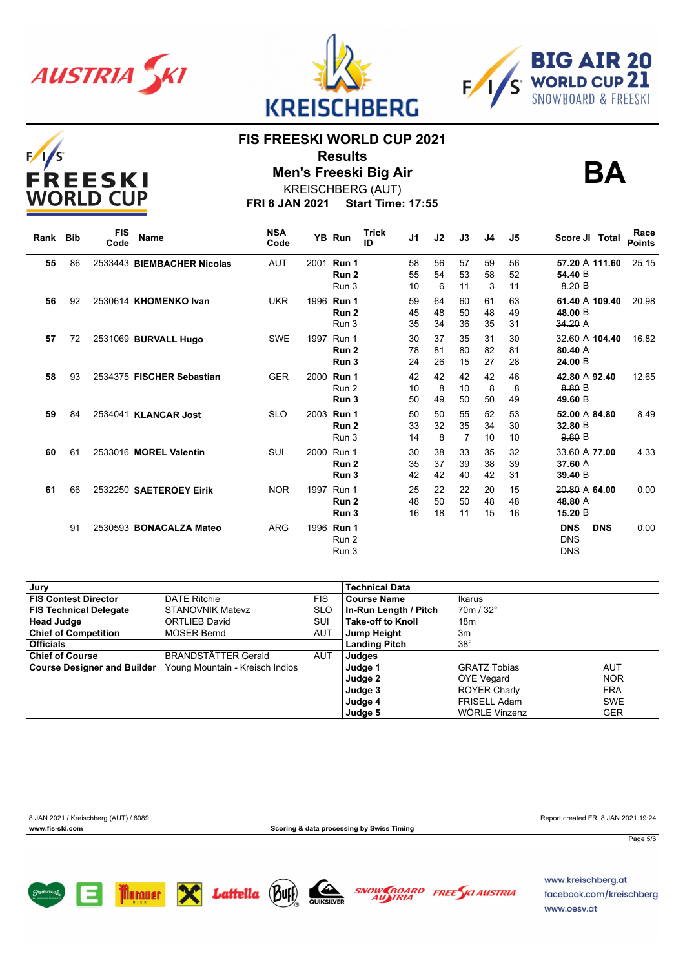

**Murauer** 

X

 $F/I/S$ 





### **FIS FREESKI WORLD CUP 2021**

**Results Men's Freeski Big Air**



**BA**

KREISCHBERG (AUT)

**FRI 8 JAN 2021 Start Time: 17:55**

| Rank | <b>Bib</b> | <b>FIS</b><br>Code | <b>Name</b>                | <b>NSA</b><br>Code | YB Run                                  | <b>Trick</b><br>ID | J <sub>1</sub> | J2             | J3             | J <sub>4</sub> | J5             | Race<br>Score JI Total<br><b>Points</b>                      |
|------|------------|--------------------|----------------------------|--------------------|-----------------------------------------|--------------------|----------------|----------------|----------------|----------------|----------------|--------------------------------------------------------------|
| 55   | 86         |                    | 2533443 BIEMBACHER Nicolas | <b>AUT</b>         | 2001 Run 1<br>Run <sub>2</sub><br>Run 3 |                    | 58<br>55<br>10 | 56<br>54<br>6  | 57<br>53<br>11 | 59<br>58<br>3  | 56<br>52<br>11 | 57.20 A 111.60<br>25.15<br>54.40 B<br>8.20 B                 |
| 56   | 92         |                    | 2530614 KHOMENKO Ivan      | <b>UKR</b>         | 1996 Run 1<br>Run <sub>2</sub><br>Run 3 |                    | 59<br>45<br>35 | 64<br>48<br>34 | 60<br>50<br>36 | 61<br>48<br>35 | 63<br>49<br>31 | 61.40 A 109.40<br>20.98<br>48.00 B<br>34.20A                 |
| 57   | 72         |                    | 2531069 BURVALL Hugo       | <b>SWE</b>         | 1997 Run 1<br>Run <sub>2</sub><br>Run 3 |                    | 30<br>78<br>24 | 37<br>81<br>26 | 35<br>80<br>15 | 31<br>82<br>27 | 30<br>81<br>28 | 32.60 A 104.40<br>16.82<br>80.40 A<br>24.00 B                |
| 58   | 93         |                    | 2534375 FISCHER Sebastian  | <b>GER</b>         | 2000 Run 1<br>Run 2<br>Run 3            |                    | 42<br>10<br>50 | 42<br>8<br>49  | 42<br>10<br>50 | 42<br>8<br>50  | 46<br>8<br>49  | 42.80 A 92.40<br>12.65<br>8.80 B<br>49.60 B                  |
| 59   | 84         |                    | 2534041 KLANCAR Jost       | <b>SLO</b>         | 2003 Run 1<br>Run 2<br>Run 3            |                    | 50<br>33<br>14 | 50<br>32<br>8  | 55<br>35<br>7  | 52<br>34<br>10 | 53<br>30<br>10 | 52.00 A 84.80<br>8.49<br>32.80 B<br>9.80 B                   |
| 60   | 61         |                    | 2533016 MOREL Valentin     | SUI                | 2000 Run 1<br>Run 2<br>Run 3            |                    | 30<br>35<br>42 | 38<br>37<br>42 | 33<br>39<br>40 | 35<br>38<br>42 | 32<br>39<br>31 | 33.60 A 77.00<br>4.33<br>37.60 A<br>39.40 B                  |
| 61   | 66         |                    | 2532250 SAETEROEY Eirik    | <b>NOR</b>         | 1997 Run 1<br>Run <sub>2</sub><br>Run 3 |                    | 25<br>48<br>16 | 22<br>50<br>18 | 22<br>50<br>11 | 20<br>48<br>15 | 15<br>48<br>16 | 20.80 A 64.00<br>0.00<br>48.80 A<br>15.20 B                  |
|      | 91         |                    | 2530593 BONACALZA Mateo    | <b>ARG</b>         | 1996 Run 1<br>Run 2<br>Run 3            |                    |                |                |                |                |                | <b>DNS</b><br><b>DNS</b><br>0.00<br><b>DNS</b><br><b>DNS</b> |

| Jury                               |                                 |            | <b>Technical Data</b>    |                     |            |
|------------------------------------|---------------------------------|------------|--------------------------|---------------------|------------|
| <b>FIS Contest Director</b>        | <b>DATE Ritchie</b>             | <b>FIS</b> | <b>Course Name</b>       | <b>Ikarus</b>       |            |
| <b>FIS Technical Delegate</b>      | <b>STANOVNIK Matevz</b>         | <b>SLO</b> | In-Run Length / Pitch    | $70m / 32^{\circ}$  |            |
| <b>Head Judge</b>                  | ORTLIEB David                   | SUI        | <b>Take-off to Knoll</b> | 18 <sub>m</sub>     |            |
| <b>Chief of Competition</b>        | <b>MOSER Bernd</b>              | AUT        | Jump Height              | 3m                  |            |
| <b>Officials</b>                   |                                 |            | <b>Landing Pitch</b>     | $38^\circ$          |            |
| <b>Chief of Course</b>             | <b>BRANDSTÄTTER Gerald</b>      | AUT        | Judges                   |                     |            |
| <b>Course Designer and Builder</b> | Young Mountain - Kreisch Indios |            | Judge 1                  | <b>GRATZ Tobias</b> | AUT        |
|                                    |                                 |            | Judge 2                  | <b>OYE Vegard</b>   | <b>NOR</b> |
|                                    |                                 |            | Judge 3                  | <b>ROYER Charly</b> | <b>FRA</b> |
|                                    |                                 |            | Judge 4                  | <b>FRISELL Adam</b> | <b>SWE</b> |
|                                    |                                 |            | Judge 5                  | WÖRLE Vinzenz       | <b>GER</b> |



SNOW BOARD FREE KI AUSTRIA facebook.com/kreischberg www.oesv.at